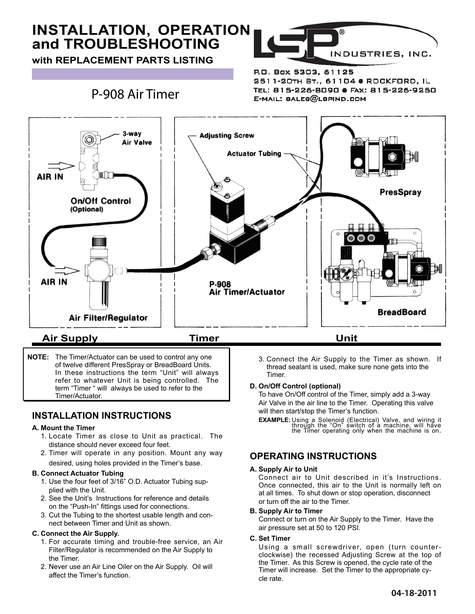# **INSTALLATION, OPERATION and TROUBLESHOOTING**

**with REPLACEMENT PARTS LISTING**

**for Air Timer/Actuator Model P-908**



R.O. Box 5303, 61125 2511-20TH ST., 61104 @ ROCKFORD, IL TEL: 815-226-B090 · FAX: 815-226-9250 E-MAIL: BALE8@LBPIND.COM

## P-908 Air Timer



**NOTE:** The Timer/Actuator can be used to control any one of twelve different PresSpray or BreadBoard Units. In these instructions the term "Unit" will always refer to whatever Unit is being controlled. The term "Timer " will always be used to refer to the Timer/Actuator.

### **INSTALLATION INSTRUCTIONS**

#### **A. Mount the Timer**

- 1. Locate Timer as close to Unit as practical. The distance should never exceed four feet.
- 2. Timer will operate in any position. Mount any way desired, using holes provided in the Timer's base.

#### **B. Connect Actuator Tubing**

- 1. Use the four feet of 3/16" O.D. Actuator Tubing sup plied with the Unit.
- 2. See the Unit's Instructions for reference and details on the "Push-In" fittings used for connections.
- 3. Cut the Tubing to the shortest usable length and con nect between Timer and Unit as shown.

#### **C. Connect the Air Supply.**

- 1. For accurate timing and trouble-free service, an Air Filter/Regulator is recommended on the Air Supply to the Timer.
- 2. Never use an Air Line Oiler on the Air Supply. Oil will affect the Timer's function.

3. Connect the Air Supply to the Timer as shown. If thread sealant is used, make sure none gets into the Timer.

#### **D. On/Off Control (optional)**

 To have On/Off control of the Timer, simply add a 3-way Air Valve in the air line to the Timer. Operating this valve will then start/stop the Timer's function.

**EXAMPLE:** Using a Solenoid (Electrical) Valve, and wiring it<br>through the "On" switch of a machine, will have<br>the Timer operating only when the machine is on.

### **OPERATING INSTRUCTIONS**

#### **A. Supply Air to Unit**

Connect air to Unit described in it's Instructions. Once connected, this air to the Unit is normally left on at all times. To shut down or stop operation, disconnect or turn off the air to the Timer.

#### **B. Supply Air to Timer**

Connect or turn on the Air Supply to the Timer. Have the air pressure set at 50 to 120 PSI.

#### **C. Set Timer**

Using a small screwdriver, open (turn counter clockwise) the recessed Adjusting Screw at the top of the Timer. As this Screw is opened, the cycle rate of the Timer will increase. Set the Timer to the appropriate cy cle rate.